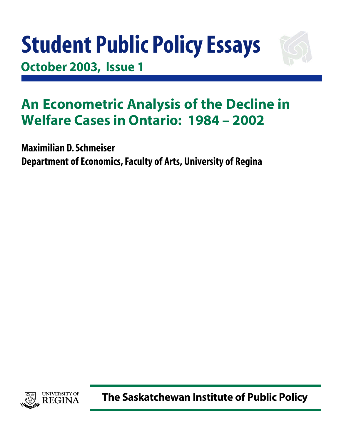# **Student Public Policy Essays October 2003, Issue 1**



## **An Econometric Analysis of the Decline in Welfare Cases in Ontario: 1984 – 2002**

**Maximilian D. Schmeiser Department of Economics, Faculty of Arts, University of Regina**



**The Saskatchewan Institute of Public Policy**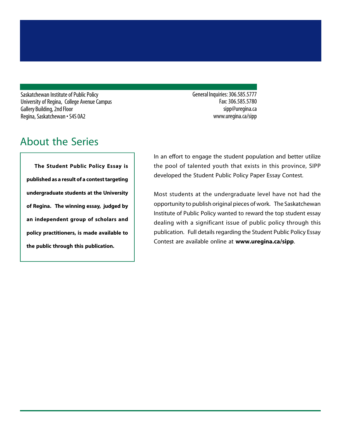Saskatchewan Institute of Public Policy University of Regina, College Avenue Campus Gallery Building, 2nd Floor Regina, Saskatchewan • S4S 0A2

## About the Series

**The Student Public Policy Essay is published as a result of a contest targeting undergraduate students at the University of Regina. The winning essay, judged by an independent group of scholars and policy practitioners, is made available to the public through this publication.**

General Inquiries: 306.585.5777 Fax: 306.585.5780 sipp@uregina.ca www.uregina.ca/sipp

In an effort to engage the student population and better utilize the pool of talented youth that exists in this province, SIPP developed the Student Public Policy Paper Essay Contest.

Most students at the undergraduate level have not had the opportunity to publish original pieces of work. The Saskatchewan Institute of Public Policy wanted to reward the top student essay dealing with a significant issue of public policy through this publication. Full details regarding the Student Public Policy Essay Contest are available online at **www.uregina.ca/sipp**.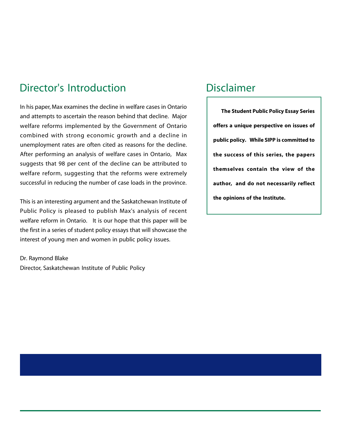## Director's Introduction

In his paper, Max examines the decline in welfare cases in Ontario and attempts to ascertain the reason behind that decline. Major welfare reforms implemented by the Government of Ontario combined with strong economic growth and a decline in unemployment rates are often cited as reasons for the decline. After performing an analysis of welfare cases in Ontario, Max suggests that 98 per cent of the decline can be attributed to welfare reform, suggesting that the reforms were extremely successful in reducing the number of case loads in the province.

This is an interesting argument and the Saskatchewan Institute of Public Policy is pleased to publish Max's analysis of recent welfare reform in Ontario. It is our hope that this paper will be the first in a series of student policy essays that will showcase the interest of young men and women in public policy issues.

Dr. Raymond Blake Director, Saskatchewan Institute of Public Policy

### Disclaimer

**The Student Public Policy Essay Series offers a unique perspective on issues of public policy. While SIPP is committed to the success of this series, the papers themselves contain the view of the author, and do not necessarily reflect the opinions of the Institute.**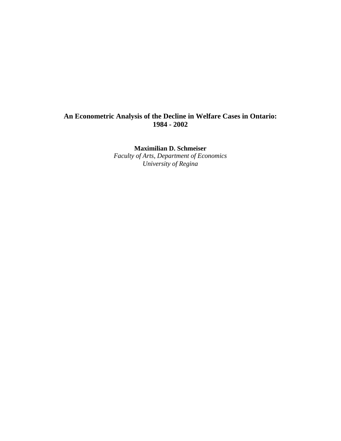#### **An Econometric Analysis of the Decline in Welfare Cases in Ontario: 1984 - 2002**

**Maximilian D. Schmeiser**

*Faculty of Arts, Department of Economics University of Regina*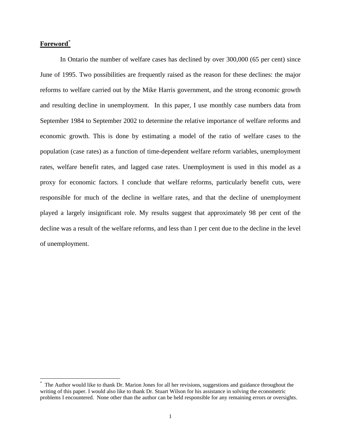#### **Foreword**\*

1

In Ontario the number of welfare cases has declined by over 300,000 (65 per cent) since June of 1995. Two possibilities are frequently raised as the reason for these declines: the major reforms to welfare carried out by the Mike Harris government, and the strong economic growth and resulting decline in unemployment. In this paper, I use monthly case numbers data from September 1984 to September 2002 to determine the relative importance of welfare reforms and economic growth. This is done by estimating a model of the ratio of welfare cases to the population (case rates) as a function of time-dependent welfare reform variables, unemployment rates, welfare benefit rates, and lagged case rates. Unemployment is used in this model as a proxy for economic factors. I conclude that welfare reforms, particularly benefit cuts, were responsible for much of the decline in welfare rates, and that the decline of unemployment played a largely insignificant role. My results suggest that approximately 98 per cent of the decline was a result of the welfare reforms, and less than 1 per cent due to the decline in the level of unemployment.

<sup>\*</sup> The Author would like to thank Dr. Marion Jones for all her revisions, suggestions and guidance throughout the writing of this paper. I would also like to thank Dr. Stuart Wilson for his assistance in solving the econometric problems I encountered. None other than the author can be held responsible for any remaining errors or oversights.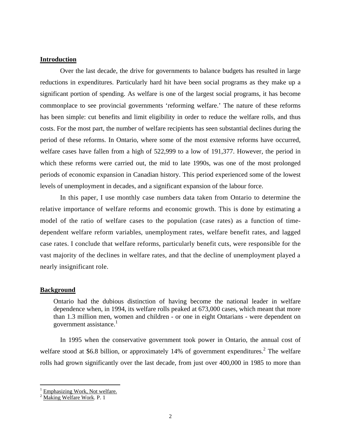#### **Introduction**

Over the last decade, the drive for governments to balance budgets has resulted in large reductions in expenditures. Particularly hard hit have been social programs as they make up a significant portion of spending. As welfare is one of the largest social programs, it has become commonplace to see provincial governments 'reforming welfare.' The nature of these reforms has been simple: cut benefits and limit eligibility in order to reduce the welfare rolls, and thus costs. For the most part, the number of welfare recipients has seen substantial declines during the period of these reforms. In Ontario, where some of the most extensive reforms have occurred, welfare cases have fallen from a high of 522,999 to a low of 191,377. However, the period in which these reforms were carried out, the mid to late 1990s, was one of the most prolonged periods of economic expansion in Canadian history. This period experienced some of the lowest levels of unemployment in decades, and a significant expansion of the labour force.

In this paper, I use monthly case numbers data taken from Ontario to determine the relative importance of welfare reforms and economic growth. This is done by estimating a model of the ratio of welfare cases to the population (case rates) as a function of timedependent welfare reform variables, unemployment rates, welfare benefit rates, and lagged case rates. I conclude that welfare reforms, particularly benefit cuts, were responsible for the vast majority of the declines in welfare rates, and that the decline of unemployment played a nearly insignificant role.

#### **Background**

Ontario had the dubious distinction of having become the national leader in welfare dependence when, in 1994, its welfare rolls peaked at 673,000 cases, which meant that more than 1.3 million men, women and children - or one in eight Ontarians - were dependent on government assistance.<sup>1</sup>

In 1995 when the conservative government took power in Ontario, the annual cost of welfare stood at \$6.8 billion, or approximately 14% of government expenditures.<sup>2</sup> The welfare rolls had grown significantly over the last decade, from just over 400,000 in 1985 to more than

 $\overline{a}$ 

<sup>1</sup> Emphasizing Work, Not welfare.

 $2 \overline{\text{Making Welfare Work}}$ . P. 1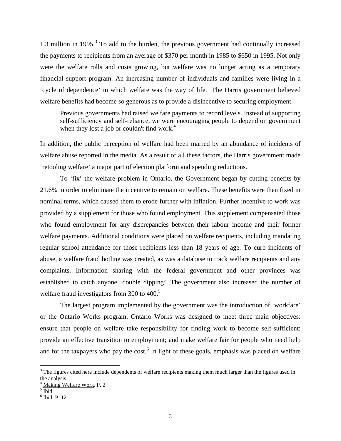1.3 million in 1995. $3$  To add to the burden, the previous government had continually increased the payments to recipients from an average of \$370 per month in 1985 to \$650 in 1995. Not only were the welfare rolls and costs growing, but welfare was no longer acting as a temporary financial support program. An increasing number of individuals and families were living in a 'cycle of dependence' in which welfare was the way of life. The Harris government believed welfare benefits had become so generous as to provide a disincentive to securing employment.

Previous governments had raised welfare payments to record levels. Instead of supporting self-sufficiency and self-reliance, we were encouraging people to depend on government when they lost a job or couldn't find work. $4$ 

In addition, the public perception of welfare had been marred by an abundance of incidents of welfare abuse reported in the media. As a result of all these factors, the Harris government made 'retooling welfare' a major part of election platform and spending reductions.

To 'fix' the welfare problem in Ontario, the Government began by cutting benefits by 21.6% in order to eliminate the incentive to remain on welfare. These benefits were then fixed in nominal terms, which caused them to erode further with inflation. Further incentive to work was provided by a supplement for those who found employment. This supplement compensated those who found employment for any discrepancies between their labour income and their former welfare payments. Additional conditions were placed on welfare recipients, including mandating regular school attendance for those recipients less than 18 years of age. To curb incidents of abuse, a welfare fraud hotline was created, as was a database to track welfare recipients and any complaints. Information sharing with the federal government and other provinces was established to catch anyone 'double dipping'. The government also increased the number of welfare fraud investigators from 300 to 400.<sup>5</sup>

The largest program implemented by the government was the introduction of 'workfare' or the Ontario Works program. Ontario Works was designed to meet three main objectives: ensure that people on welfare take responsibility for finding work to become self-sufficient; provide an effective transition to employment; and make welfare fair for people who need help and for the taxpayers who pay the cost.<sup>6</sup> In light of these goals, emphasis was placed on welfare

1

 $3$  The figures cited here include dependents of welfare recipients making them much larger than the figures used in the analysis.

<sup>4</sup> Making Welfare Work. P. 2

 $<sup>5</sup>$  Ibid.</sup>

<sup>6</sup> Ibid. P. 12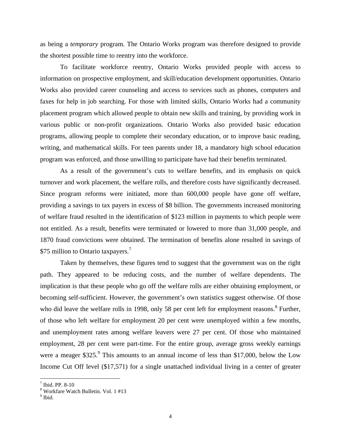as being a *temporary* program. The Ontario Works program was therefore designed to provide the shortest possible time to reentry into the workforce.

To facilitate workforce reentry, Ontario Works provided people with access to information on prospective employment, and skill/education development opportunities. Ontario Works also provided career counseling and access to services such as phones, computers and faxes for help in job searching. For those with limited skills, Ontario Works had a community placement program which allowed people to obtain new skills and training, by providing work in various public or non-profit organizations. Ontario Works also provided basic education programs, allowing people to complete their secondary education, or to improve basic reading, writing, and mathematical skills. For teen parents under 18, a mandatory high school education program was enforced, and those unwilling to participate have had their benefits terminated.

As a result of the government's cuts to welfare benefits, and its emphasis on quick turnover and work placement, the welfare rolls, and therefore costs have significantly decreased. Since program reforms were initiated, more than 600,000 people have gone off welfare, providing a savings to tax payers in excess of \$8 billion. The governments increased monitoring of welfare fraud resulted in the identification of \$123 million in payments to which people were not entitled. As a result, benefits were terminated or lowered to more than 31,000 people, and 1870 fraud convictions were obtained. The termination of benefits alone resulted in savings of \$75 million to Ontario taxpayers.<sup>7</sup>

Taken by themselves, these figures tend to suggest that the government was on the right path. They appeared to be reducing costs, and the number of welfare dependents. The implication is that these people who go off the welfare rolls are either obtaining employment, or becoming self-sufficient. However, the government's own statistics suggest otherwise. Of those who did leave the welfare rolls in 1998, only 58 per cent left for employment reasons.<sup>8</sup> Further, of those who left welfare for employment 20 per cent were unemployed within a few months, and unemployment rates among welfare leavers were 27 per cent. Of those who maintained employment, 28 per cent were part-time. For the entire group, average gross weekly earnings were a meager  $$325<sup>9</sup>$ . This amounts to an annual income of less than \$17,000, below the Low Income Cut Off level (\$17,571) for a single unattached individual living in a center of greater

 $\overline{a}$ 

<sup>7</sup> Ibid. PP. 8-10

<sup>8</sup> Workfare Watch Bulletin. Vol. 1 #13

<sup>&</sup>lt;sup>9</sup> Ibid.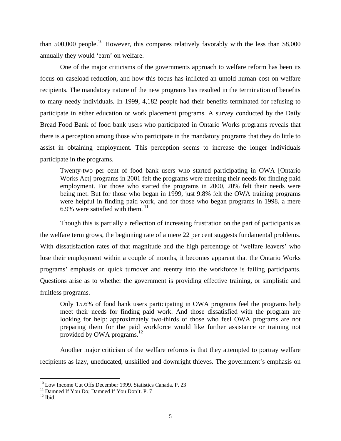than 500,000 people.<sup>10</sup> However, this compares relatively favorably with the less than \$8,000 annually they would 'earn' on welfare.

One of the major criticisms of the governments approach to welfare reform has been its focus on caseload reduction, and how this focus has inflicted an untold human cost on welfare recipients. The mandatory nature of the new programs has resulted in the termination of benefits to many needy individuals. In 1999, 4,182 people had their benefits terminated for refusing to participate in either education or work placement programs. A survey conducted by the Daily Bread Food Bank of food bank users who participated in Ontario Works programs reveals that there is a perception among those who participate in the mandatory programs that they do little to assist in obtaining employment. This perception seems to increase the longer individuals participate in the programs.

Twenty-two per cent of food bank users who started participating in OWA [Ontario Works Act] programs in 2001 felt the programs were meeting their needs for finding paid employment. For those who started the programs in 2000, 20% felt their needs were being met. But for those who began in 1999, just 9.8% felt the OWA training programs were helpful in finding paid work, and for those who began programs in 1998, a mere 6.9% were satisfied with them.  $11$ 

Though this is partially a reflection of increasing frustration on the part of participants as the welfare term grows, the beginning rate of a mere 22 per cent suggests fundamental problems. With dissatisfaction rates of that magnitude and the high percentage of 'welfare leavers' who lose their employment within a couple of months, it becomes apparent that the Ontario Works programs' emphasis on quick turnover and reentry into the workforce is failing participants. Questions arise as to whether the government is providing effective training, or simplistic and fruitless programs.

Only 15.6% of food bank users participating in OWA programs feel the programs help meet their needs for finding paid work. And those dissatisfied with the program are looking for help: approximately two-thirds of those who feel OWA programs are not preparing them for the paid workforce would like further assistance or training not provided by OWA programs.<sup>12</sup>

Another major criticism of the welfare reforms is that they attempted to portray welfare recipients as lazy, uneducated, unskilled and downright thieves. The government's emphasis on

1

<sup>&</sup>lt;sup>10</sup> Low Income Cut Offs December 1999. Statistics Canada. P. 23

<sup>&</sup>lt;sup>11</sup> Damned If You Do; Damned If You Don't. P. 7

 $12$  Ibid.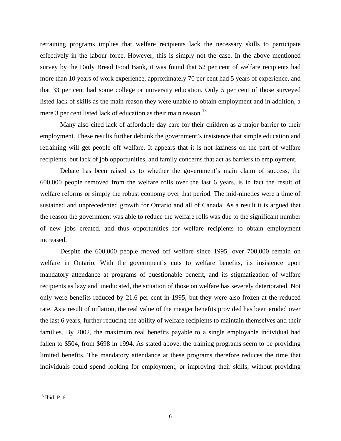retraining programs implies that welfare recipients lack the necessary skills to participate effectively in the labour force. However, this is simply not the case. In the above mentioned survey by the Daily Bread Food Bank, it was found that 52 per cent of welfare recipients had more than 10 years of work experience, approximately 70 per cent had 5 years of experience, and that 33 per cent had some college or university education. Only 5 per cent of those surveyed listed lack of skills as the main reason they were unable to obtain employment and in addition, a mere 3 per cent listed lack of education as their main reason.<sup>13</sup>

Many also cited lack of affordable day care for their children as a major barrier to their employment. These results further debunk the government's insistence that simple education and retraining will get people off welfare. It appears that it is not laziness on the part of welfare recipients, but lack of job opportunities, and family concerns that act as barriers to employment.

Debate has been raised as to whether the government's main claim of success, the 600,000 people removed from the welfare rolls over the last 6 years, is in fact the result of welfare reforms or simply the robust economy over that period. The mid-nineties were a time of sustained and unprecedented growth for Ontario and all of Canada. As a result it is argued that the reason the government was able to reduce the welfare rolls was due to the significant number of new jobs created, and thus opportunities for welfare recipients to obtain employment increased.

Despite the 600,000 people moved off welfare since 1995, over 700,000 remain on welfare in Ontario. With the government's cuts to welfare benefits, its insistence upon mandatory attendance at programs of questionable benefit, and its stigmatization of welfare recipients as lazy and uneducated, the situation of those on welfare has severely deteriorated. Not only were benefits reduced by 21.6 per cent in 1995, but they were also frozen at the reduced rate. As a result of inflation, the real value of the meager benefits provided has been eroded over the last 6 years, further reducing the ability of welfare recipients to maintain themselves and their families. By 2002, the maximum real benefits payable to a single employable individual had fallen to \$504, from \$698 in 1994. As stated above, the training programs seem to be providing limited benefits. The mandatory attendance at these programs therefore reduces the time that individuals could spend looking for employment, or improving their skills, without providing

1

 $13$  Ibid. P. 6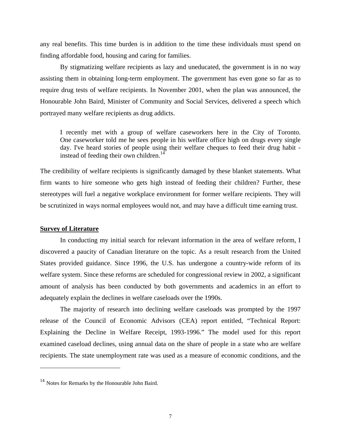any real benefits. This time burden is in addition to the time these individuals must spend on finding affordable food, housing and caring for families.

By stigmatizing welfare recipients as lazy and uneducated, the government is in no way assisting them in obtaining long-term employment. The government has even gone so far as to require drug tests of welfare recipients. In November 2001, when the plan was announced, the Honourable John Baird, Minister of Community and Social Services, delivered a speech which portrayed many welfare recipients as drug addicts.

I recently met with a group of welfare caseworkers here in the City of Toronto. One caseworker told me he sees people in his welfare office high on drugs every single day. I've heard stories of people using their welfare cheques to feed their drug habit instead of feeding their own children.<sup>14</sup>

The credibility of welfare recipients is significantly damaged by these blanket statements. What firm wants to hire someone who gets high instead of feeding their children? Further, these stereotypes will fuel a negative workplace environment for former welfare recipients. They will be scrutinized in ways normal employees would not, and may have a difficult time earning trust.

#### **Survey of Literature**

 $\overline{a}$ 

In conducting my initial search for relevant information in the area of welfare reform, I discovered a paucity of Canadian literature on the topic. As a result research from the United States provided guidance. Since 1996, the U.S. has undergone a country-wide reform of its welfare system. Since these reforms are scheduled for congressional review in 2002, a significant amount of analysis has been conducted by both governments and academics in an effort to adequately explain the declines in welfare caseloads over the 1990s.

The majority of research into declining welfare caseloads was prompted by the 1997 release of the Council of Economic Advisors (CEA) report entitled, "Technical Report: Explaining the Decline in Welfare Receipt, 1993-1996." The model used for this report examined caseload declines, using annual data on the share of people in a state who are welfare recipients. The state unemployment rate was used as a measure of economic conditions, and the

<sup>&</sup>lt;sup>14</sup> Notes for Remarks by the Honourable John Baird.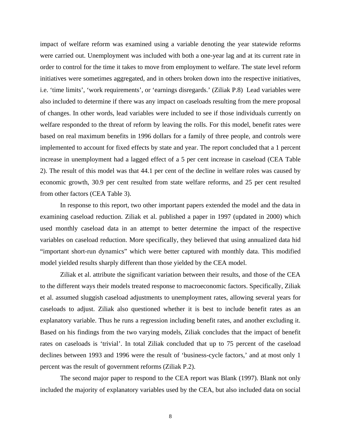impact of welfare reform was examined using a variable denoting the year statewide reforms were carried out. Unemployment was included with both a one-year lag and at its current rate in order to control for the time it takes to move from employment to welfare. The state level reform initiatives were sometimes aggregated, and in others broken down into the respective initiatives, i.e. 'time limits', 'work requirements', or 'earnings disregards.' (Ziliak P.8) Lead variables were also included to determine if there was any impact on caseloads resulting from the mere proposal of changes. In other words, lead variables were included to see if those individuals currently on welfare responded to the threat of reform by leaving the rolls. For this model, benefit rates were based on real maximum benefits in 1996 dollars for a family of three people, and controls were implemented to account for fixed effects by state and year. The report concluded that a 1 percent increase in unemployment had a lagged effect of a 5 per cent increase in caseload (CEA Table 2). The result of this model was that 44.1 per cent of the decline in welfare roles was caused by economic growth, 30.9 per cent resulted from state welfare reforms, and 25 per cent resulted from other factors (CEA Table 3).

In response to this report, two other important papers extended the model and the data in examining caseload reduction. Ziliak et al. published a paper in 1997 (updated in 2000) which used monthly caseload data in an attempt to better determine the impact of the respective variables on caseload reduction. More specifically, they believed that using annualized data hid "important short-run dynamics" which were better captured with monthly data. This modified model yielded results sharply different than those yielded by the CEA model.

Ziliak et al. attribute the significant variation between their results, and those of the CEA to the different ways their models treated response to macroeconomic factors. Specifically, Ziliak et al. assumed sluggish caseload adjustments to unemployment rates, allowing several years for caseloads to adjust. Ziliak also questioned whether it is best to include benefit rates as an explanatory variable. Thus he runs a regression including benefit rates, and another excluding it. Based on his findings from the two varying models, Ziliak concludes that the impact of benefit rates on caseloads is 'trivial'. In total Ziliak concluded that up to 75 percent of the caseload declines between 1993 and 1996 were the result of 'business-cycle factors,' and at most only 1 percent was the result of government reforms (Ziliak P.2).

The second major paper to respond to the CEA report was Blank (1997). Blank not only included the majority of explanatory variables used by the CEA, but also included data on social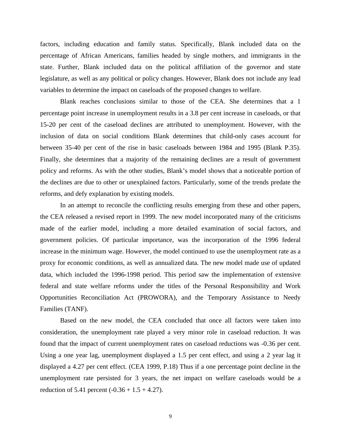factors, including education and family status. Specifically, Blank included data on the percentage of African Americans, families headed by single mothers, and immigrants in the state. Further, Blank included data on the political affiliation of the governor and state legislature, as well as any political or policy changes. However, Blank does not include any lead variables to determine the impact on caseloads of the proposed changes to welfare.

Blank reaches conclusions similar to those of the CEA. She determines that a 1 percentage point increase in unemployment results in a 3.8 per cent increase in caseloads, or that 15-20 per cent of the caseload declines are attributed to unemployment. However, with the inclusion of data on social conditions Blank determines that child-only cases account for between 35-40 per cent of the rise in basic caseloads between 1984 and 1995 (Blank P.35). Finally, she determines that a majority of the remaining declines are a result of government policy and reforms. As with the other studies, Blank's model shows that a noticeable portion of the declines are due to other or unexplained factors. Particularly, some of the trends predate the reforms, and defy explanation by existing models.

In an attempt to reconcile the conflicting results emerging from these and other papers, the CEA released a revised report in 1999. The new model incorporated many of the criticisms made of the earlier model, including a more detailed examination of social factors, and government policies. Of particular importance, was the incorporation of the 1996 federal increase in the minimum wage. However, the model continued to use the unemployment rate as a proxy for economic conditions, as well as annualized data. The new model made use of updated data, which included the 1996-1998 period. This period saw the implementation of extensive federal and state welfare reforms under the titles of the Personal Responsibility and Work Opportunities Reconciliation Act (PROWORA), and the Temporary Assistance to Needy Families (TANF).

Based on the new model, the CEA concluded that once all factors were taken into consideration, the unemployment rate played a very minor role in caseload reduction. It was found that the impact of current unemployment rates on caseload reductions was -0.36 per cent. Using a one year lag, unemployment displayed a 1.5 per cent effect, and using a 2 year lag it displayed a 4.27 per cent effect. (CEA 1999, P.18) Thus if a one percentage point decline in the unemployment rate persisted for 3 years, the net impact on welfare caseloads would be a reduction of 5.41 percent  $(-0.36 + 1.5 + 4.27)$ .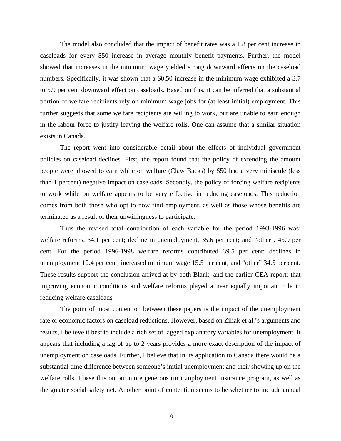The model also concluded that the impact of benefit rates was a 1.8 per cent increase in caseloads for every \$50 increase in average monthly benefit payments. Further, the model showed that increases in the minimum wage yielded strong downward effects on the caseload numbers. Specifically, it was shown that a \$0.50 increase in the minimum wage exhibited a 3.7 to 5.9 per cent downward effect on caseloads. Based on this, it can be inferred that a substantial portion of welfare recipients rely on minimum wage jobs for (at least initial) employment. This further suggests that some welfare recipients are willing to work, but are unable to earn enough in the labour force to justify leaving the welfare rolls. One can assume that a similar situation exists in Canada.

The report went into considerable detail about the effects of individual government policies on caseload declines. First, the report found that the policy of extending the amount people were allowed to earn while on welfare (Claw Backs) by \$50 had a very miniscule (less than 1 percent) negative impact on caseloads. Secondly, the policy of forcing welfare recipients to work while on welfare appears to be very effective in reducing caseloads. This reduction comes from both those who opt to now find employment, as well as those whose benefits are terminated as a result of their unwillingness to participate.

Thus the revised total contribution of each variable for the period 1993-1996 was: welfare reforms, 34.1 per cent; decline in unemployment, 35.6 per cent; and "other", 45.9 per cent. For the period 1996-1998 welfare reforms contributed 39.5 per cent; declines in unemployment 10.4 per cent; increased minimum wage 15.5 per cent; and "other" 34.5 per cent. These results support the conclusion arrived at by both Blank, and the earlier CEA report: that improving economic conditions and welfare reforms played a near equally important role in reducing welfare caseloads

The point of most contention between these papers is the impact of the unemployment rate or economic factors on caseload reductions. However, based on Ziliak et al.'s arguments and results, I believe it best to include a rich set of lagged explanatory variables for unemployment. It appears that including a lag of up to 2 years provides a more exact description of the impact of unemployment on caseloads. Further, I believe that in its application to Canada there would be a substantial time difference between someone's initial unemployment and their showing up on the welfare rolls. I base this on our more generous (un)Employment Insurance program, as well as the greater social safety net. Another point of contention seems to be whether to include annual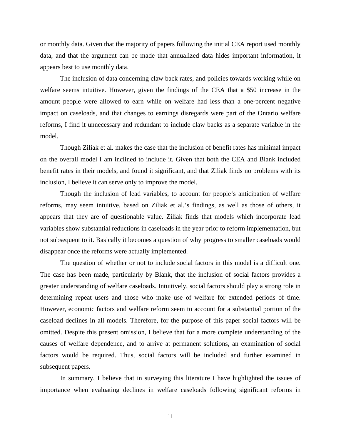or monthly data. Given that the majority of papers following the initial CEA report used monthly data, and that the argument can be made that annualized data hides important information, it appears best to use monthly data.

The inclusion of data concerning claw back rates, and policies towards working while on welfare seems intuitive. However, given the findings of the CEA that a \$50 increase in the amount people were allowed to earn while on welfare had less than a one-percent negative impact on caseloads, and that changes to earnings disregards were part of the Ontario welfare reforms, I find it unnecessary and redundant to include claw backs as a separate variable in the model.

Though Ziliak et al. makes the case that the inclusion of benefit rates has minimal impact on the overall model I am inclined to include it. Given that both the CEA and Blank included benefit rates in their models, and found it significant, and that Ziliak finds no problems with its inclusion, I believe it can serve only to improve the model.

Though the inclusion of lead variables, to account for people's anticipation of welfare reforms, may seem intuitive, based on Ziliak et al.'s findings, as well as those of others, it appears that they are of questionable value. Ziliak finds that models which incorporate lead variables show substantial reductions in caseloads in the year prior to reform implementation, but not subsequent to it. Basically it becomes a question of why progress to smaller caseloads would disappear once the reforms were actually implemented.

The question of whether or not to include social factors in this model is a difficult one. The case has been made, particularly by Blank, that the inclusion of social factors provides a greater understanding of welfare caseloads. Intuitively, social factors should play a strong role in determining repeat users and those who make use of welfare for extended periods of time. However, economic factors and welfare reform seem to account for a substantial portion of the caseload declines in all models. Therefore, for the purpose of this paper social factors will be omitted. Despite this present omission, I believe that for a more complete understanding of the causes of welfare dependence, and to arrive at permanent solutions, an examination of social factors would be required. Thus, social factors will be included and further examined in subsequent papers.

In summary, I believe that in surveying this literature I have highlighted the issues of importance when evaluating declines in welfare caseloads following significant reforms in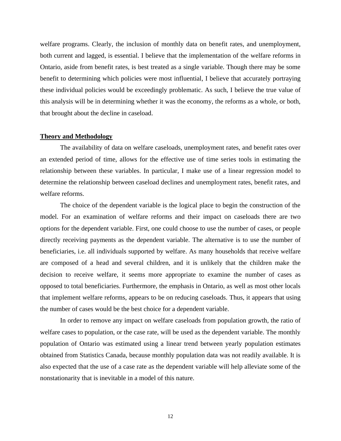welfare programs. Clearly, the inclusion of monthly data on benefit rates, and unemployment, both current and lagged, is essential. I believe that the implementation of the welfare reforms in Ontario, aside from benefit rates, is best treated as a single variable. Though there may be some benefit to determining which policies were most influential, I believe that accurately portraying these individual policies would be exceedingly problematic. As such, I believe the true value of this analysis will be in determining whether it was the economy, the reforms as a whole, or both, that brought about the decline in caseload.

#### **Theory and Methodology**

The availability of data on welfare caseloads, unemployment rates, and benefit rates over an extended period of time, allows for the effective use of time series tools in estimating the relationship between these variables. In particular, I make use of a linear regression model to determine the relationship between caseload declines and unemployment rates, benefit rates, and welfare reforms.

The choice of the dependent variable is the logical place to begin the construction of the model. For an examination of welfare reforms and their impact on caseloads there are two options for the dependent variable. First, one could choose to use the number of cases, or people directly receiving payments as the dependent variable. The alternative is to use the number of beneficiaries, i.e. all individuals supported by welfare. As many households that receive welfare are composed of a head and several children, and it is unlikely that the children make the decision to receive welfare, it seems more appropriate to examine the number of cases as opposed to total beneficiaries. Furthermore, the emphasis in Ontario, as well as most other locals that implement welfare reforms, appears to be on reducing caseloads. Thus, it appears that using the number of cases would be the best choice for a dependent variable.

In order to remove any impact on welfare caseloads from population growth, the ratio of welfare cases to population, or the case rate, will be used as the dependent variable. The monthly population of Ontario was estimated using a linear trend between yearly population estimates obtained from Statistics Canada, because monthly population data was not readily available. It is also expected that the use of a case rate as the dependent variable will help alleviate some of the nonstationarity that is inevitable in a model of this nature.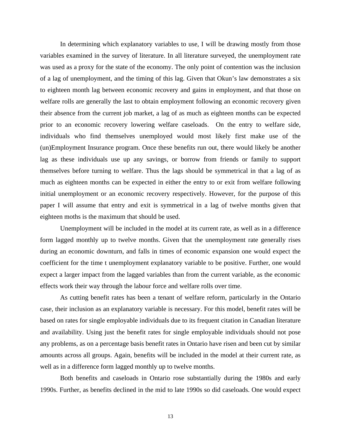In determining which explanatory variables to use, I will be drawing mostly from those variables examined in the survey of literature. In all literature surveyed, the unemployment rate was used as a proxy for the state of the economy. The only point of contention was the inclusion of a lag of unemployment, and the timing of this lag. Given that Okun's law demonstrates a six to eighteen month lag between economic recovery and gains in employment, and that those on welfare rolls are generally the last to obtain employment following an economic recovery given their absence from the current job market, a lag of as much as eighteen months can be expected prior to an economic recovery lowering welfare caseloads. On the entry to welfare side, individuals who find themselves unemployed would most likely first make use of the (un)Employment Insurance program. Once these benefits run out, there would likely be another lag as these individuals use up any savings, or borrow from friends or family to support themselves before turning to welfare. Thus the lags should be symmetrical in that a lag of as much as eighteen months can be expected in either the entry to or exit from welfare following initial unemployment or an economic recovery respectively. However, for the purpose of this paper I will assume that entry and exit is symmetrical in a lag of twelve months given that eighteen moths is the maximum that should be used.

Unemployment will be included in the model at its current rate, as well as in a difference form lagged monthly up to twelve months. Given that the unemployment rate generally rises during an economic downturn, and falls in times of economic expansion one would expect the coefficient for the time t unemployment explanatory variable to be positive. Further, one would expect a larger impact from the lagged variables than from the current variable, as the economic effects work their way through the labour force and welfare rolls over time.

As cutting benefit rates has been a tenant of welfare reform, particularly in the Ontario case, their inclusion as an explanatory variable is necessary. For this model, benefit rates will be based on rates for single employable individuals due to its frequent citation in Canadian literature and availability. Using just the benefit rates for single employable individuals should not pose any problems, as on a percentage basis benefit rates in Ontario have risen and been cut by similar amounts across all groups. Again, benefits will be included in the model at their current rate, as well as in a difference form lagged monthly up to twelve months.

Both benefits and caseloads in Ontario rose substantially during the 1980s and early 1990s. Further, as benefits declined in the mid to late 1990s so did caseloads. One would expect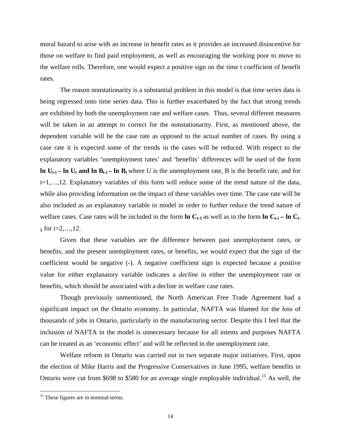moral hazard to arise with an increase in benefit rates as it provides an increased disincentive for those on welfare to find paid employment, as well as encouraging the working poor to move to the welfare rolls. Therefore, one would expect a positive sign on the time t coefficient of benefit rates.

The reason nonstationarity is a substantial problem in this model is that time series data is being regressed onto time series data. This is further exacerbated by the fact that strong trends are exhibited by both the unemployment rate and welfare cases. Thus, several different measures will be taken in an attempt to correct for the nonstationarity. First, as mentioned above, the dependent variable will be the case rate as opposed to the actual number of cases. By using a case rate it is expected some of the trends in the cases will be reduced. With respect to the explanatory variables 'unemployment rates' and 'benefits' differences will be used of the form **ln**  $U_{t-i}$  – ln  $U_t$  and ln  $B_{t-i}$  – ln  $B_t$  where U is the unemployment rate, B is the benefit rate, and for i=1,…,12. Explanatory variables of this form will reduce some of the trend nature of the data, while also providing information on the impact of these variables over time. The case rate will be also included as an explanatory variable in model in order to further reduce the trend nature of welfare cases. Case rates will be included in the form  $\ln C_{t-1}$  as well as in the form  $\ln C_{t-1} - \ln C_{t-1}$ **1** for i=2,..., 12.

Given that these variables are the difference between past unemployment rates, or benefits, and the present unemployment rates, or benefits, we would expect that the sign of the coefficient would be negative (-). A negative coefficient sign is expected because a positive value for either explanatory variable indicates a *decline* in either the unemployment rate or benefits, which should be associated with a decline in welfare case rates.

Though previously unmentioned, the North American Free Trade Agreement had a significant impact on the Ontario economy. In particular, NAFTA was blamed for the loss of thousands of jobs in Ontario, particularly in the manufacturing sector. Despite this I feel that the inclusion of NAFTA in the model is unnecessary because for all intents and purposes NAFTA can be treated as an 'economic effect' and will be reflected in the unemployment rate.

Welfare reform in Ontario was carried out in two separate major initiatives. First, upon the election of Mike Harris and the Progressive Conservatives in June 1995, welfare benefits in Ontario were cut from \$698 to \$580 for an average single employable individual.<sup>15</sup> As well, the

 $\overline{a}$ 

<sup>&</sup>lt;sup>15</sup> These figures are in nominal terms.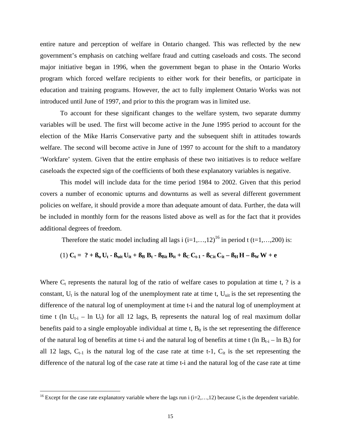entire nature and perception of welfare in Ontario changed. This was reflected by the new government's emphasis on catching welfare fraud and cutting caseloads and costs. The second major initiative began in 1996, when the government began to phase in the Ontario Works program which forced welfare recipients to either work for their benefits, or participate in education and training programs. However, the act to fully implement Ontario Works was not introduced until June of 1997, and prior to this the program was in limited use.

To account for these significant changes to the welfare system, two separate dummy variables will be used. The first will become active in the June 1995 period to account for the election of the Mike Harris Conservative party and the subsequent shift in attitudes towards welfare. The second will become active in June of 1997 to account for the shift to a mandatory 'Workfare' system. Given that the entire emphasis of these two initiatives is to reduce welfare caseloads the expected sign of the coefficients of both these explanatory variables is negative.

This model will include data for the time period 1984 to 2002. Given that this period covers a number of economic upturns and downturns as well as several different government policies on welfare, it should provide a more than adequate amount of data. Further, the data will be included in monthly form for the reasons listed above as well as for the fact that it provides additional degrees of freedom.

Therefore the static model including all lags i  $(i=1,...,12)^{16}$  in period t  $(t=1,...,200)$  is:

(1) 
$$
C_t = ? + B_u U_t - B_{uit} U_{it} + B_B B_t - B_{Bit} B_{it} + B_C C_{t-1} - B_{Cit} C_{it} - B_H H - B_W W + e
$$

Where  $C_t$  represents the natural log of the ratio of welfare cases to population at time t, ? is a constant,  $U_t$  is the natural log of the unemployment rate at time t,  $U_{uit}$  is the set representing the difference of the natural log of unemployment at time t-i and the natural log of unemployment at time t (ln  $U_{t-i}$  – ln  $U_t$ ) for all 12 lags,  $B_t$  represents the natural log of real maximum dollar benefits paid to a single employable individual at time  $t$ ,  $B_{it}$  is the set representing the difference of the natural log of benefits at time t-i and the natural log of benefits at time t (ln  $B_{t-i}$  – ln  $B_t$ ) for all 12 lags,  $C_{t-1}$  is the natural log of the case rate at time t-1,  $C_{it}$  is the set representing the difference of the natural log of the case rate at time t-i and the natural log of the case rate at time

1

<sup>&</sup>lt;sup>16</sup> Except for the case rate explanatory variable where the lags run i (i=2,...,12) because  $C_t$  is the dependent variable.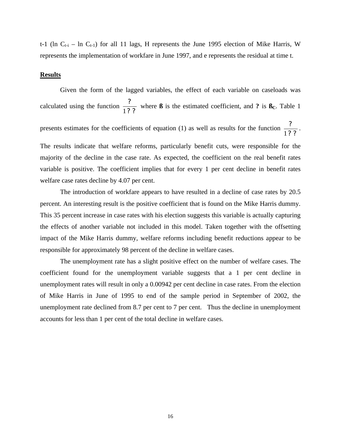t-1 (ln  $C_{t-i}$  – ln  $C_{t-1}$ ) for all 11 lags, H represents the June 1995 election of Mike Harris, W represents the implementation of workfare in June 1997, and e represents the residual at time t.

#### **Results**

Given the form of the lagged variables, the effect of each variable on caseloads was calculated using the function *? ?* 1? where **ß** is the estimated coefficient, and **?** is  $\mathbf{B}_C$ . Table 1 presents estimates for the coefficients of equation (1) as well as results for the function *? ?* 1? . The results indicate that welfare reforms, particularly benefit cuts, were responsible for the majority of the decline in the case rate. As expected, the coefficient on the real benefit rates variable is positive. The coefficient implies that for every 1 per cent decline in benefit rates welfare case rates decline by 4.07 per cent.

The introduction of workfare appears to have resulted in a decline of case rates by 20.5 percent. An interesting result is the positive coefficient that is found on the Mike Harris dummy. This 35 percent increase in case rates with his election suggests this variable is actually capturing the effects of another variable not included in this model. Taken together with the offsetting impact of the Mike Harris dummy, welfare reforms including benefit reductions appear to be responsible for approximately 98 percent of the decline in welfare cases.

The unemployment rate has a slight positive effect on the number of welfare cases. The coefficient found for the unemployment variable suggests that a 1 per cent decline in unemployment rates will result in only a 0.00942 per cent decline in case rates. From the election of Mike Harris in June of 1995 to end of the sample period in September of 2002, the unemployment rate declined from 8.7 per cent to 7 per cent. Thus the decline in unemployment accounts for less than 1 per cent of the total decline in welfare cases.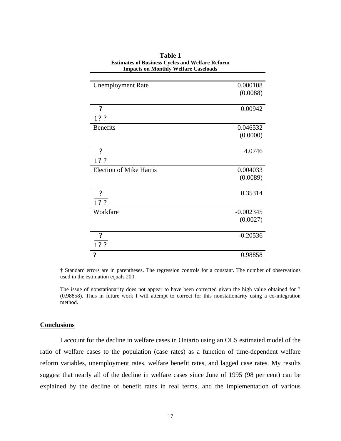| <b>Unemployment Rate</b>       | 0.000108    |
|--------------------------------|-------------|
|                                | (0.0088)    |
|                                |             |
| ?                              | 0.00942     |
| 1? ?                           |             |
| <b>Benefits</b>                | 0.046532    |
|                                | (0.0000)    |
| ?                              | 4.0746      |
| 1? ?                           |             |
| <b>Election of Mike Harris</b> | 0.004033    |
|                                | (0.0089)    |
| $\boldsymbol{\mathcal{P}}$     | 0.35314     |
| 1? ?                           |             |
| Workfare                       | $-0.002345$ |
|                                | (0.0027)    |
| $\overline{\mathcal{E}}$       | $-0.20536$  |
| 1??                            |             |
| $\gamma$                       | 0.98858     |

**Table 1 Estimates of Business Cycles and Welfare Reform Impacts on Monthly Welfare Caseloads**

† Standard errors are in parentheses. The regression controls for a constant. The number of observations used in the estimation equals 200.

The issue of nonstationarity does not appear to have been corrected given the high value obtained for ? (0.98858). Thus in future work I will attempt to correct for this nonstationarity using a co-integration method.

#### **Conclusions**

I account for the decline in welfare cases in Ontario using an OLS estimated model of the ratio of welfare cases to the population (case rates) as a function of time-dependent welfare reform variables, unemployment rates, welfare benefit rates, and lagged case rates. My results suggest that nearly all of the decline in welfare cases since June of 1995 (98 per cent) can be explained by the decline of benefit rates in real terms, and the implementation of various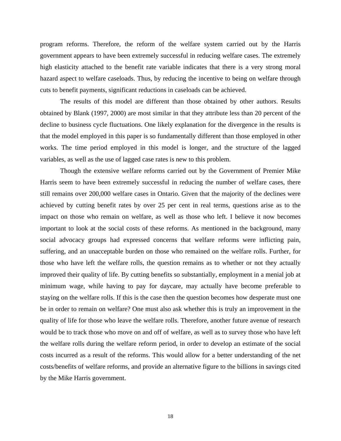program reforms. Therefore, the reform of the welfare system carried out by the Harris government appears to have been extremely successful in reducing welfare cases. The extremely high elasticity attached to the benefit rate variable indicates that there is a very strong moral hazard aspect to welfare caseloads. Thus, by reducing the incentive to being on welfare through cuts to benefit payments, significant reductions in caseloads can be achieved.

The results of this model are different than those obtained by other authors. Results obtained by Blank (1997, 2000) are most similar in that they attribute less than 20 percent of the decline to business cycle fluctuations. One likely explanation for the divergence in the results is that the model employed in this paper is so fundamentally different than those employed in other works. The time period employed in this model is longer, and the structure of the lagged variables, as well as the use of lagged case rates is new to this problem.

Though the extensive welfare reforms carried out by the Government of Premier Mike Harris seem to have been extremely successful in reducing the number of welfare cases, there still remains over 200,000 welfare cases in Ontario. Given that the majority of the declines were achieved by cutting benefit rates by over 25 per cent in real terms, questions arise as to the impact on those who remain on welfare, as well as those who left. I believe it now becomes important to look at the social costs of these reforms. As mentioned in the background, many social advocacy groups had expressed concerns that welfare reforms were inflicting pain, suffering, and an unacceptable burden on those who remained on the welfare rolls. Further, for those who have left the welfare rolls, the question remains as to whether or not they actually improved their quality of life. By cutting benefits so substantially, employment in a menial job at minimum wage, while having to pay for daycare, may actually have become preferable to staying on the welfare rolls. If this is the case then the question becomes how desperate must one be in order to remain on welfare? One must also ask whether this is truly an improvement in the quality of life for those who leave the welfare rolls. Therefore, another future avenue of research would be to track those who move on and off of welfare, as well as to survey those who have left the welfare rolls during the welfare reform period, in order to develop an estimate of the social costs incurred as a result of the reforms. This would allow for a better understanding of the net costs/benefits of welfare reforms, and provide an alternative figure to the billions in savings cited by the Mike Harris government.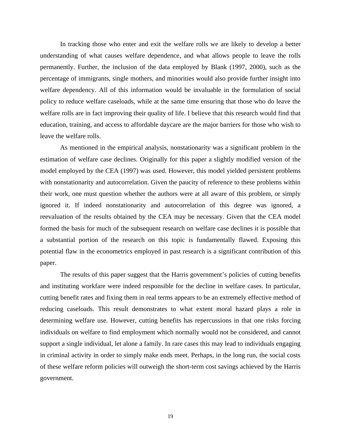In tracking those who enter and exit the welfare rolls we are likely to develop a better understanding of what causes welfare dependence, and what allows people to leave the rolls permanently. Further, the inclusion of the data employed by Blank (1997, 2000), such as the percentage of immigrants, single mothers, and minorities would also provide further insight into welfare dependency. All of this information would be invaluable in the formulation of social policy to reduce welfare caseloads, while at the same time ensuring that those who do leave the welfare rolls are in fact improving their quality of life. I believe that this research would find that education, training, and access to affordable daycare are the major barriers for those who wish to leave the welfare rolls.

As mentioned in the empirical analysis, nonstationarity was a significant problem in the estimation of welfare case declines. Originally for this paper a slightly modified version of the model employed by the CEA (1997) was used. However, this model yielded persistent problems with nonstationarity and autocorrelation. Given the paucity of reference to these problems within their work, one must question whether the authors were at all aware of this problem, or simply ignored it. If indeed nonstationarity and autocorrelation of this degree was ignored, a reevaluation of the results obtained by the CEA may be necessary. Given that the CEA model formed the basis for much of the subsequent research on welfare case declines it is possible that a substantial portion of the research on this topic is fundamentally flawed. Exposing this potential flaw in the econometrics employed in past research is a significant contribution of this paper.

The results of this paper suggest that the Harris government's policies of cutting benefits and instituting workfare were indeed responsible for the decline in welfare cases. In particular, cutting benefit rates and fixing them in real terms appears to be an extremely effective method of reducing caseloads. This result demonstrates to what extent moral hazard plays a role in determining welfare use. However, cutting benefits has repercussions in that one risks forcing individuals on welfare to find employment which normally would not be considered, and cannot support a single individual, let alone a family. In rare cases this may lead to individuals engaging in criminal activity in order to simply make ends meet. Perhaps, in the long run, the social costs of these welfare reform policies will outweigh the short-term cost savings achieved by the Harris government.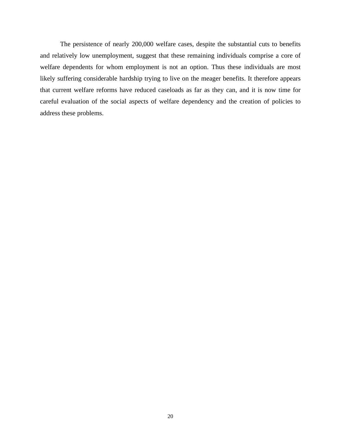The persistence of nearly 200,000 welfare cases, despite the substantial cuts to benefits and relatively low unemployment, suggest that these remaining individuals comprise a core of welfare dependents for whom employment is not an option. Thus these individuals are most likely suffering considerable hardship trying to live on the meager benefits. It therefore appears that current welfare reforms have reduced caseloads as far as they can, and it is now time for careful evaluation of the social aspects of welfare dependency and the creation of policies to address these problems.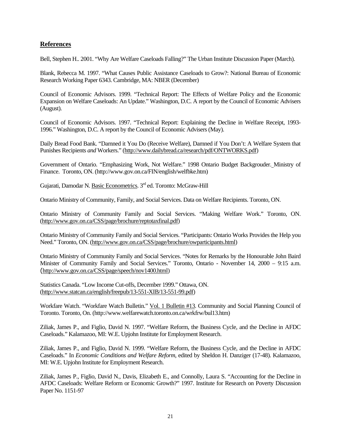#### **References**

Bell, Stephen H.. 2001. "Why Are Welfare Caseloads Falling?" The Urban Institute Discussion Paper (March).

Blank, Rebecca M. 1997. "What Causes Public Assistance Caseloads to Grow?: National Bureau of Economic Research Working Paper 6343. Cambridge, MA: NBER (December)

Council of Economic Advisors. 1999. "Technical Report: The Effects of Welfare Policy and the Economic Expansion on Welfare Caseloads: An Update." Washington, D.C. A report by the Council of Economic Advisers (August).

Council of Economic Advisors. 1997. "Technical Report: Explaining the Decline in Welfare Receipt, 1993- 1996." Washington, D.C. A report by the Council of Economic Advisers (May).

Daily Bread Food Bank. "Damned it You Do (Receive Welfare), Damned if You Don't: A Welfare System that Punishes Recipients *and* Workers." (http://www.dailybread.ca/research/pdf/ONTWORKS.pdf)

Government of Ontario. "Emphasizing Work, Not Welfare." 1998 Ontario Budget Backgrouder. Ministry of Finance. Toronto, ON. (http://www.gov.on.ca/FIN/english/welfbke.htm)

Gujarati, Damodar N. Basic Econometrics. 3rd ed. Toronto: McGraw-Hill

Ontario Ministry of Community, Family, and Social Services. Data on Welfare Recipients. Toronto, ON.

Ontario Ministry of Community Family and Social Services. "Making Welfare Work." Toronto, ON. (http://www.gov.on.ca/CSS/page/brochure/reptotaxfinal.pdf)

Ontario Ministry of Community Family and Social Services. "Participants: Ontario Works Provides the Help you Need." Toronto, ON. (http://www.gov.on.ca/CSS/page/brochure/owparticipants.html)

Ontario Ministry of Community Family and Social Services. "Notes for Remarks by the Honourable John Baird Minister of Community Family and Social Services." Toronto, Ontario - November 14, 2000 – 9:15 a.m. (http://www.gov.on.ca/CSS/page/speech/nov1400.html)

Statistics Canada. "Low Income Cut-offs, December 1999." Ottawa, ON. (http://www.statcan.ca/english/freepub/13-551-XIB/13-551-99.pdf)

Workfare Watch. "Workfare Watch Bulletin." Vol. 1 Bulletin #13. Community and Social Planning Council of Toronto. Toronto, On. (http://www.welfarewatch.toronto.on.ca/wrkfrw/bul13.htm)

Ziliak, James P., and Figlio, David N. 1997. "Welfare Reform, the Business Cycle, and the Decline in AFDC Caseloads." Kalamazoo, MI: W.E. Upjohn Institute for Employment Research.

Ziliak, James P., and Figlio, David N. 1999. "Welfare Reform, the Business Cycle, and the Decline in AFDC Caseloads." In *Economic Conditions and Welfare Reform*, edited by Sheldon H. Danziger (17-48). Kalamazoo, MI: W.E. Upjohn Institute for Employment Research.

Ziliak, James P., Figlio, David N., Davis, Elizabeth E., and Connolly, Laura S. "Accounting for the Decline in AFDC Caseloads: Welfare Reform or Economic Growth?" 1997. Institute for Research on Poverty Discussion Paper No. 1151-97